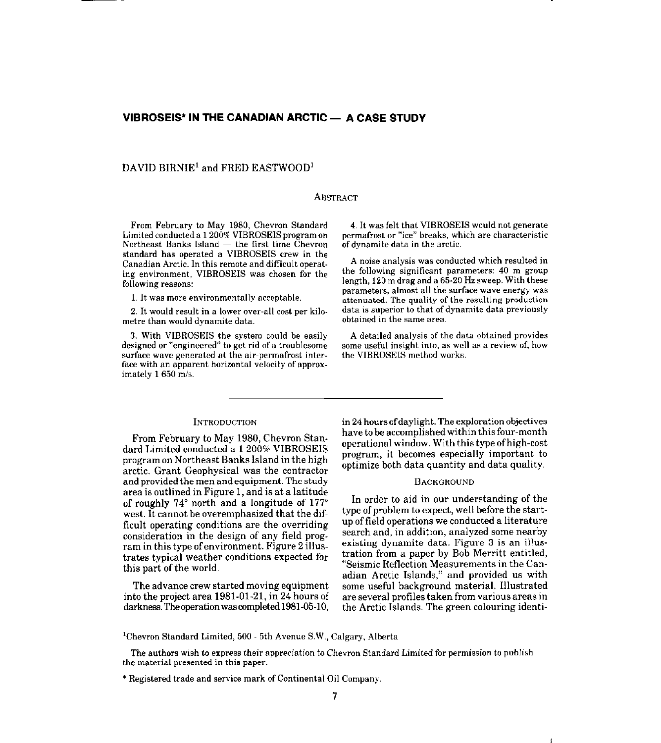## **VIBROSEIS\* IN THE CANADIAN ARCTIC - A CASE STUDY**

## DAVID BIRNIE' and FRED EASTWOOD'

#### ABSTRACT

From February to May 1980, Chevron Standard Limited conducted a 1 200% VIBROSEIS program on Northeast Banks Island  $-$  the first time Chevron standard has operated a VIBROSEIS crew in the Canadian Arctic. In this remote and difficult operating environment, VIBROSEIS was chosen for the following reasons:

I. It was more environmentally acceptable.

2. It would result in a lower over-all cost per kilametre than would dynamite data.

3. With VIBROSEIS the system could be easily designed or "engineered" to get rid of a troublesome surface wave generated at the air-permafrost interface with an apparent horizontal velocity of approximately 1650 m/s.

4. It was felt that VIBROSEIS would not generate permafrost or "ice" breaks. which are characteristic of dynamite data in the arctic.

A noise analysis was conducted which resulted in the following significant parameters: 40 m group length, 120 m drag and a 65.20 Hz sweep. With these parameters, almost all the surface wave energy was attenuated. The quality of the resulting production data is superior to that of dynamite data previously obtained in the same area.

A detailed analysis of the data obtained provides some useful insight into. as well as a review of. how the VIBROSEIS method works.

#### INTRODUCTION

From February to May 1980, Chevron Standard Limited conducted a 1200% VIBROSEIS program on Northeast Banks Island in the high arctic. Grant Geophysical was the contractor and provided the men and equipment. The study area is outlined in Figure 1, and is at a latitude of roughly  $74^{\circ}$  north and a longitude of  $177^{\circ}$ west. It cannot be overemphasized that the difficult operating conditions are the overriding consideration in the design of any field program in this type ofenvironment. Figure 2 illustrates typical weather conditions expected for this part of the world.

The advance crew started moving equipment into the project area 1981-01-21, in 24 hours of darkness. The operation was completed 1981-05-10, in 24 hours ofdaylight. The exploration objectives have to be accomplished within this four-month operational window. With this type ofhigh-cost program, it becomes especially important to optimize both data quantity and data quality.

#### **BACKGROUND**

In order to aid in our understanding of the type of problem to expect, well before the startup of field operations we conducted a literature search and, in addition, analyzed some nearby existing dynamite data. Figure 3 is an illustration from a paper by Bob Merritt entitled, "Seismic Reflection Measurements in the Canadian Arctic Islands," and provided us with some useful background material. Illustrated are several profiles taken from various areas in the Arctic Islands. The green colouring identi-

<sup>1</sup>Chevron Standard Limited, 500 - 5th Avenue S.W., Calgary, Alberta

The authors wish to express their appreciation to Chevron Standard Limited for permission to publish the material presented in this paper.

<sup>\*</sup> Registered trade and service mark of Continental Oil Company.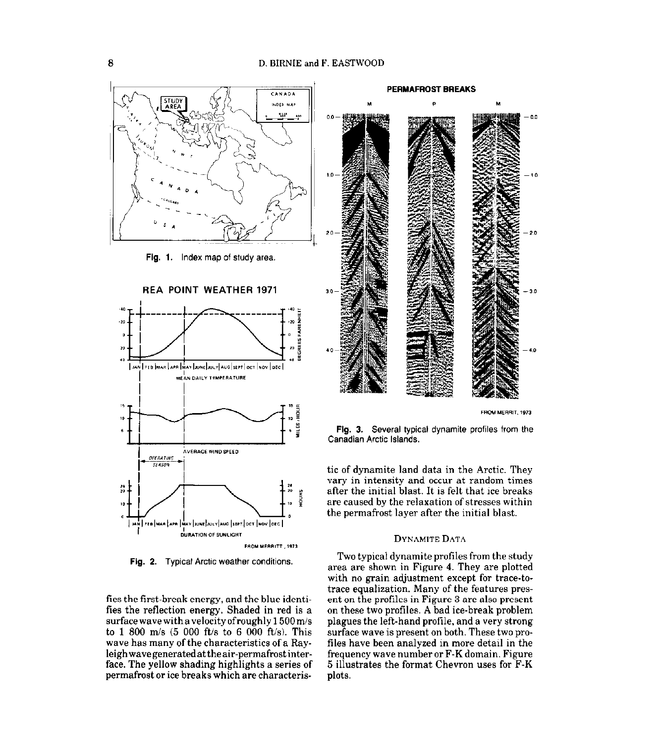

Fig. 1. Index map of study area.



Fig. 2. Typical Arctic weather conditions.

fies the first-break energy, and the blue identifies the reflection energy. Shaded in red is a surface wave with a velocity of roughly 1500 m/s to 1 800 m/s  $(5\ 000\ \text{ft/s}$  to 6 000 ft/s). This wave has many of the characteristics of a Rayleigh wave generated at the air-permafrost interface. The yellow shading highlights a series of permafrost or ice breaks which are characteris-



Fig. 3. Several typical dynamite profiles from the Canadian Arctic Islands.

tic of dynamite land data in the Arctic. They vary in intensity and occur at random times after the initial blast. It is felt that ice breaks are caused by the relaxation of stresses within the permafrost layer after the initial blast.

#### **DYNAMITE DATA**

Two typical dynamite profiles from the study area are shown in Figure 4. They are plotted with no grain adjustment except for trace-totrace equalization. Many of the features present on the profiles in Figure 3 are also present on these two profiles. A bad ice-break problem plagues the left-hand profile, and a very strong surface wave is present on both. These two profiles have been analyzed in more detail in the frequency wave number or F-K domain. Figure 5 illustrates the format Chevron uses for F-K plots.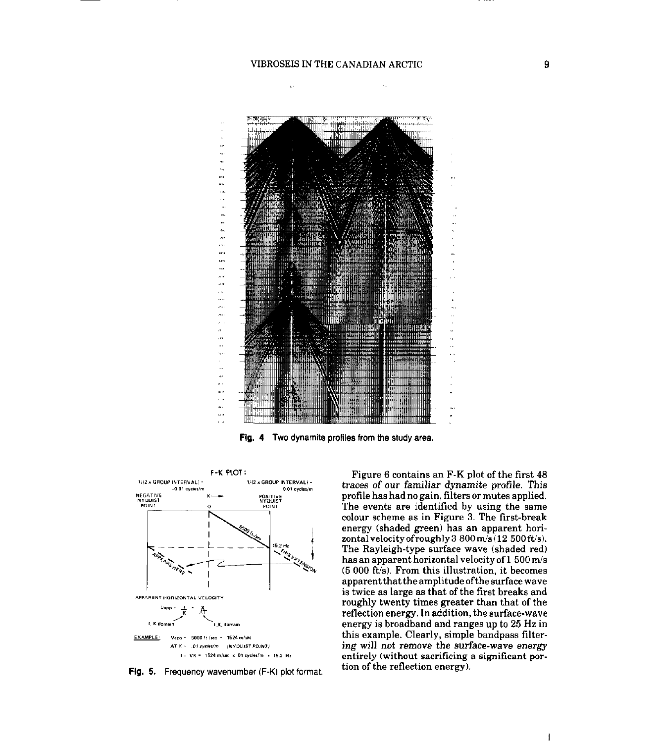į,



Fig. 4 Two dynamite profiles from the study area.



Fig. 5. Frequency wavenumber (F-K) plot format.

Figure 6 contains an F-K plot of the first 48 traces of our familiar dynamite profile. This profile has had no gain, filters or mutes applied. The events are identified by using the same colour scheme as in Figure 3. The first-break energy (shaded green) has an apparent horizontal velocity of roughly 3 800 m/s (12 500 ft/s). The Rayleigh-type surface wave (shaded red) has an apparent horizontal velocity of 1 500 m/s (5 000 ft/s). From this illustration, it becomes apparent that the amplitude of the surface wave is twice as large as that of the first breaks and roughly twenty times greater than that of the reflection energy. In addition, the surface-wave energy is broadband and ranges up to 25 Hz in this example. Clearly, simple bandpass filtering will not remove the surface-wave energy entirely (without sacrificing a significant portion of the reflection energy).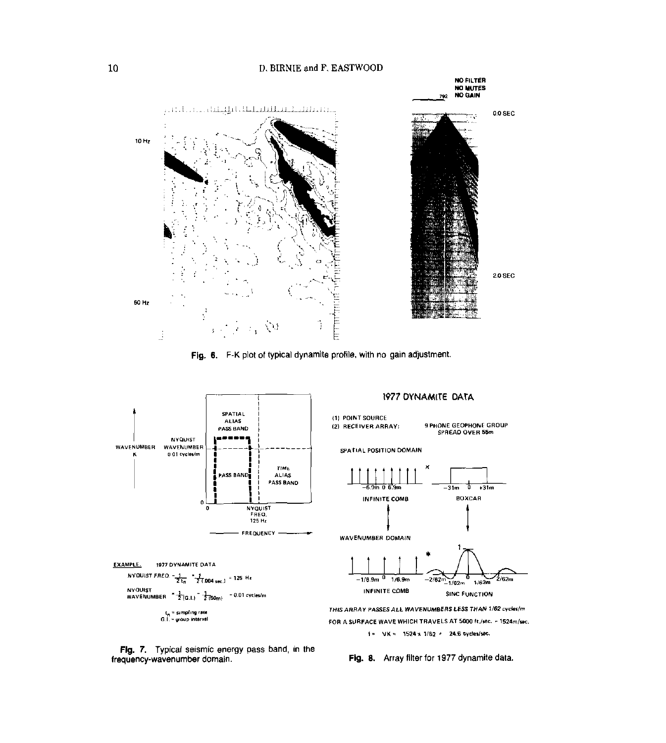## D. BIRNIE and F. EASTWOOD



Fig. 6. F-K plot of typical dynamite profile, with no gain adjustment.



Fig. 7. Typical seismic energy pass band, in the frequency-wavenumber domain.

Fig. 8. Array filter for 1977 dynamite data.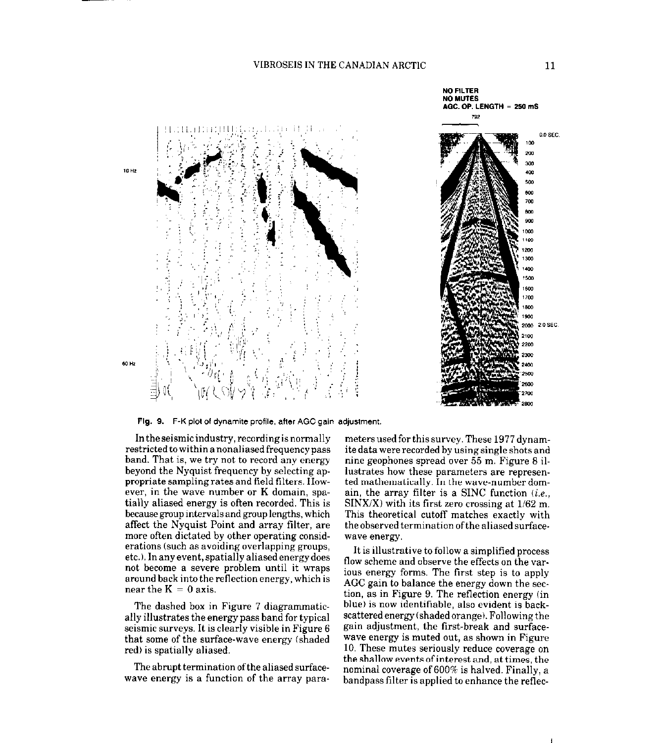

Flg. 9. F-K plot of dynamite profile, after AGC gain adjustment.

In the seismic industry, recording is normally restricted to within a nonaliased frequency pass band. That is, we try not to record any energy beyond the Nyquist frequency by selecting appropriate sampling rates and field filters. However, in the wave number or K domain, spatially aliased energy is often recorded. This is because group intervals and group lengths, which affect the Nyquist Point and array filter, are more often dictated by other operating considerations (such as avoiding overlapping groups, etc.).Inanyevent,spatiallyaliasedenergydoes not become a severe problem until it wraps around back into the reflection energy, which is near the  $K = 0$  axis.

The dashed box in Figure 7 diagrammatically illustrates the energy pass band for typical seismic surveys. It is clearly visible in Figure 6 that some of the surface-wave energy (shaded red) is spatially aliased.

The abrupt termination of the aliased surfacewave energy is a function of the array para-

meters used for this survey. These 1977 dynamite data were recorded by using single shots and nine geophones spread over 55 m. Figure 8 illustrates how these parameters are represented mathematically. In the wave-number domain, the array filter is a SINC function  $(i.e.,$  $\text{SINX/X}$  with its first zero crossing at  $1/62$  m. This theoretical cutoff matches exactly with the observed termination ofthe aliased surface-WaYe energy

It is illustrative to follow a simplified process flow scheme and observe the effects on the var. ious energy forms. The first step is to apply AGC gain to balance the energy down the section, as in Figure 9. The reflection energy (in blue) is now identifiable, also evident is backscattered energy (shaded orange). Following the gain adjustment, the first-break and surfacewave energy is muted out, as shown in Figure 10. These mutes seriously reduce coverage on the shallow events of interest and, at times, the nominal coverage of 600% is halved. Finally, a bandpass filter is applied to enhance the reflec-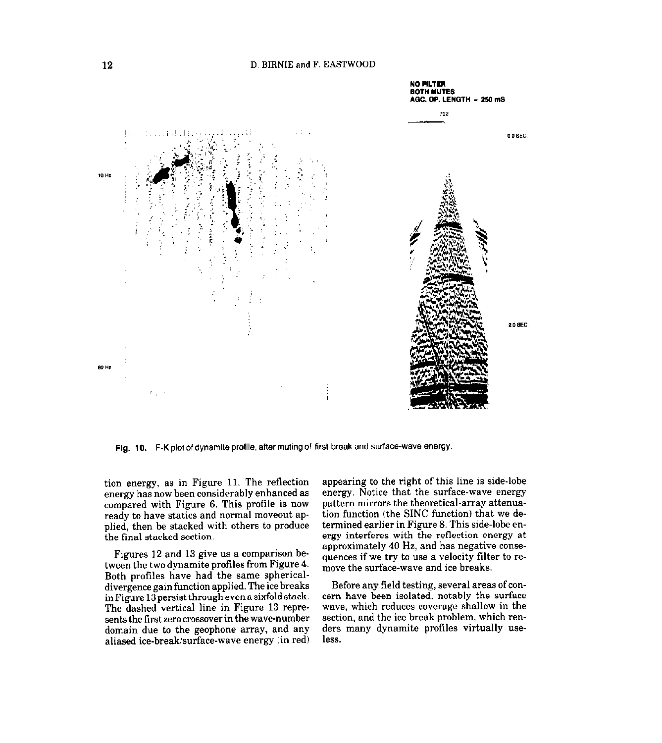

Fig. 10. F-K plot of dynamite profile, after muting of first-break and surface-wave energy.

tion energy, as in Figure 11. The reflection energy has now been considerably enhanced as compared with Figure 6. This profile is now ready to have statics and normal moveout applied, then be stacked with others to produce the final stacked section.

Figures 12 and 13 give us a comparison between the two dynamite profiles from Figure 4. Both profiles have had the same sphericaldivergence gain function applied. The ice breaks inFigure 13persistthroughevenasixfoldstack. The dashed vertical line in Figure 13 represents the first zero crossover in the wave-number domain due to the geophone array, and any aliased ice-break/surface-wave energy (in red)

appearing to the right of this line is side-lobe energy. Notice that the surface-wave energy pattern mirrors the theoretical-array attenuation function (the SINC function) that we determined earlier in Figure 8. This side-lobe energy interferes with the reflection energy at approximately 40 Hz, and has negative consequences if we try to use a velocity filter to remove the surface-wave and ice breaks.

Before any field testing, several areas of concern have been isolated, notably the surface wave, which reduces coverage shallow in the section, and the ice break problem, which renders many dynamite profiles virtually useless.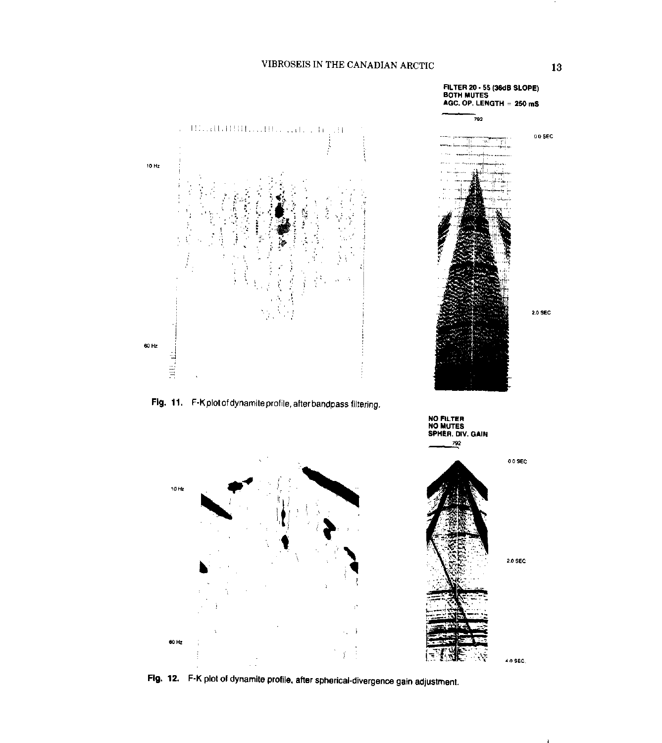

Fig. 12. F-K plot of dynamite profile, after spherical-divergence gain adjustment.

13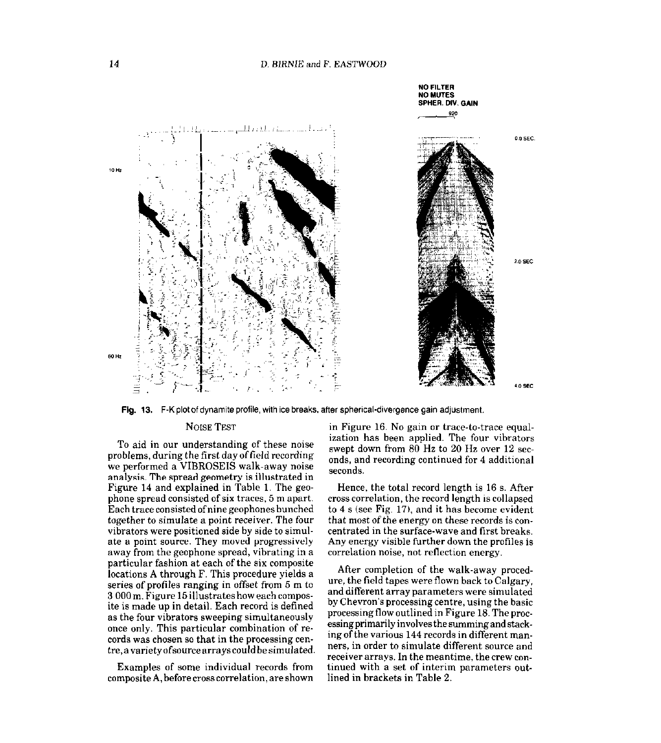

Fig. 13. F-K plot of dynamite profile, with ice breaks, after spherical-divergence gain adjustment.

#### NOISE TEST

To aid in our understanding of these noise problems, during the first dayoffield recording we performed a VIBROSEIS walk-away noise analysis. The spread geometry is illustrated in Figure 14 and explained in Table 1. The geophone spread consisted of six traces, 5 m apart. Each trace consisted ofnine geophones bunched together to simulate a point receiver. The four vibrators were positioned side by side to simulate a point source. They moved progressively away from the geophone spread, vibrating in a particular fashion at each of the six composite locations A through F. This procedure yields a series of profiles ranging in offset from 5 m to 3 000 m. Figure 15 illustrates how each composite is made up in detail. Each record is defined as the four vibrators sweeping simultaneously once only. This particular combination of records was chosen so that in the processing centre,avarietyafsourcearrayscouldbesimulated.

Examples of some individual records from composite A, before cross correlation, are shown in Figure 16. No gain or trace-to-trace equalization has been applied. The four vibrators swept down from 80 Hz to 20 Hz over 12 seconds, and recording continued for 4 additional seconds.

Hence, the total record length is 16 s. After cross correlation, the record length is collapsed to 4 s (see Fig. 17), and it has become evident that most of the energy on these records is concentrated in the surface-wave and first breaks. Any energy visible further down the profiles is correlation noise, not reflection energy.

After completion of the walk-away procedure, the field tapes were flown back to Calgary, and different array parameters were simulated by Chevron's processing centre, using the basic processing flow outlined in Figure 18. The processing primarily involves the summing and stack. ing of the various 144 records in different manners, in order to simulate different source and receiver arrays. In the meantime, the crew continued with a set of interim parameters outlined in brackets in Table 2.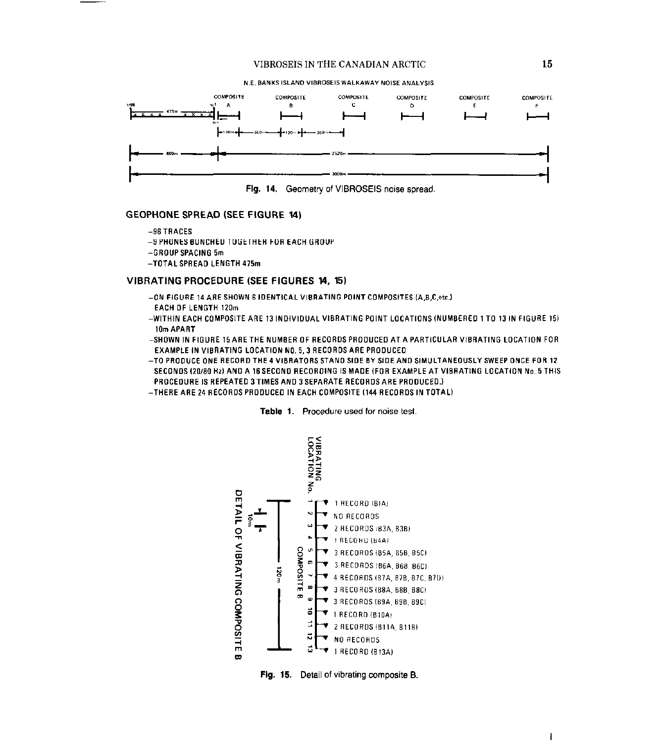

Fig. 14. Geometry of VIBROSEIS noise spread.

#### **GEOPHONE SPREAD (SEE FIGURE 14)**

 $-96$  TRACES

-9 PHONES BUNCHED TOGETHER FOR EACH GROUP

- -GROUP SPACING 5m
- -TOTAL SPREAD LENGTH 475m

## VIBRATING PROCEDURE (SEE FIGURES 14, 15)

- -ON FIGURE 14 ARE SHOWN 6 IDENTICAL VIBRATING POINT COMPOSITES (A,B,C,etc.) **EACH OF LENGTH 120m**
- -WITHIN EACH COMPOSITE ARE 13 INDIVIDUAL VIBRATING POINT LOCATIONS (NUMBERED 1 TO 13 IN FIGURE 15) 10m APART
- -SHOWN IN FIGURE 15 ARE THE NUMBER OF RECORDS PRODUCED AT A PARTICULAR VIBRATING LOCATION FOR EXAMPLE IN VIBRATING LOCATION NO. 5, 3 RECORDS ARE PRODUCED
- -TO PRODUCE ONE RECORD THE 4 VIBRATORS STAND SIDE BY SIDE AND SIMULTANEOUSLY SWEEP ONCE FOR 12 SECONDS (20/80 Hz) AND A 16 SECOND RECORDING IS MADE (FOR EXAMPLE AT VIBRATING LOCATION No. 5 THIS PROCEDURE IS REPEATED 3 TIMES AND 3 SEPARATE RECORDS ARE PRODUCED.)
- -THERE ARE 24 RECORDS PRODUCED IN EACH COMPOSITE (144 RECORDS IN TOTAL)



Table 1. Procedure used for noise test.

Fig. 15. Detail of vibrating composite B.

 $\mathbf{I}$ 

15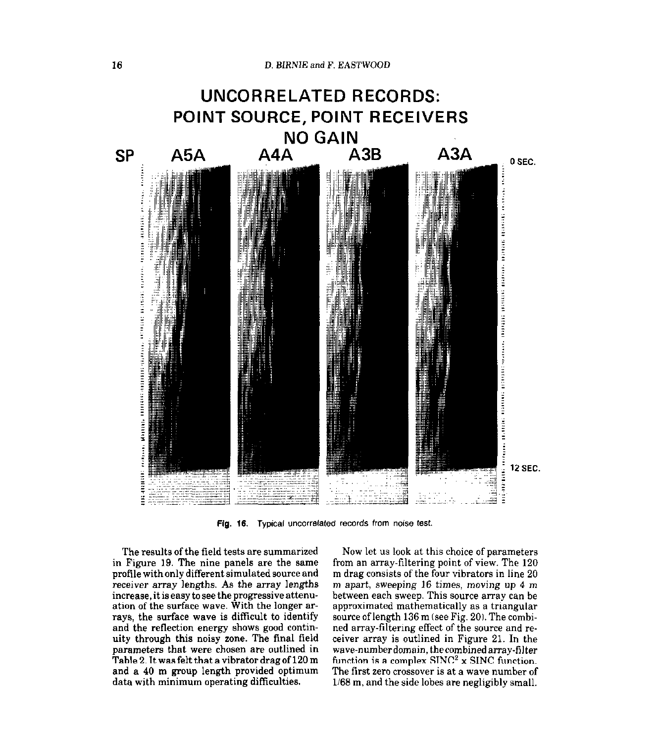

Fig. 16. Typical uncorrelated records from noise test.

The results of the field tests are summarized in Figure 19. The nine panels are the same profile with only different simulated source and receiver array lengths. As the array lengths increase, it is easy to see the progressive attenuation of the surface wave. With the longer arrays, the surface wave is difficult to identify and the reflection energy shows good continuity through this noisy zone. The final field parameters that were chosen are outlined in Table 2. It was felt that a vibrator drag of 120 m and a 40 m group length provided optimum data with minimum operating difficulties.

Now let us look at this choice of parameters from an array-filtering point of view. The 120 m drag consists of the four vibrators in line 20 m apart, sweeping 16 times, moving up 4 m between each sweep. This source array can be approximated mathematically as a triangular source of length 136 m (see Fig. 20). The combined array-filtering effect of the source and receiver array is outlined in Figure 21. In the wave-numberdomain. thecombinedarray-filter function is a complex  $SINC^2$  x  $SINC$  function. The first zero crossover is at a wave number of 1168 m, and the side lobes are negligibly small.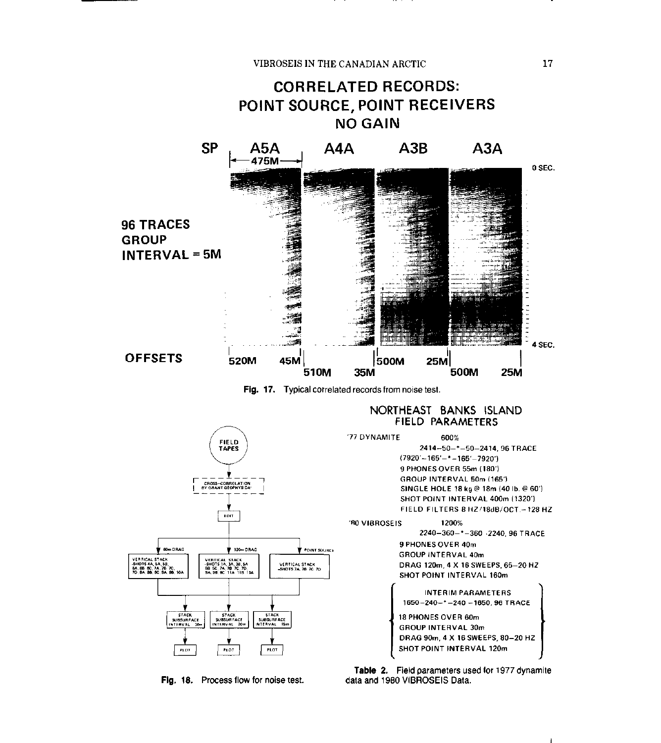# CORRELATED RECORDS: POINT SOURCE, POINT RECEIVERS NO GAIN SP LA?A-I A4A A3B A3A d7GM 0 SEC. 96 TRACES GROUP INTERVAL 5M 4 SEC. I **OFFSETS** 520M 45M اً 500M 25M<br>500M 35M **25M** 510M

Fig. 17. Typical correlated records from noise test.

## NORTHEAST BANKS ISLAND FIELD PARAMETERS



Fig. 18. Process flow for noise test. data and 1980 VIBROSEIS Data.

Table 2. Field parameters used for 1977 dynamite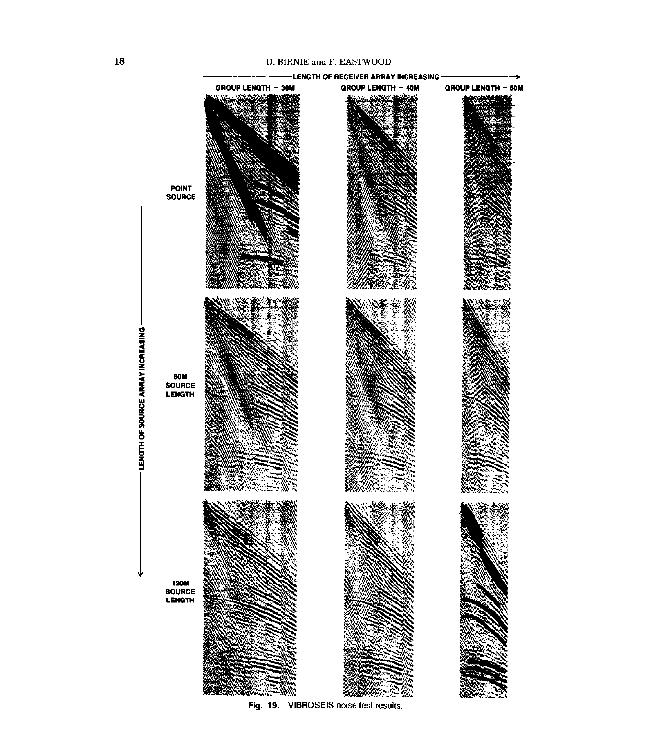#### D. BIRNIE and F. EASTWOOD

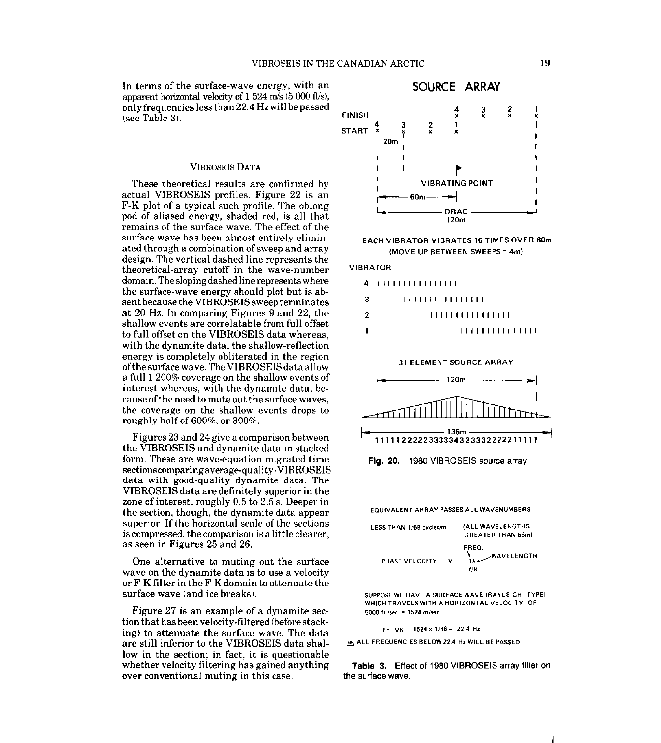In terms of the surface-wave energy, with an apparent horizontal velocity of  $1524$  m/s ( $5000$  ft/s), only frequencies less than 22.4 Hz will be passed (see Table 3).

#### VIBROSEIS DATA

These theoretical results are confirmed by actual VIBROSEIS profiles. Figure 22 is an F-K plot of a typical such profile. The oblong pod of aliased energy, shaded red, is all that remains of the surface wave. The effect of the surface wave has been almost entirely eliminated through a combination of sweep and array design. The vertical dashed line represents the theoretical-array cutoff in the wave-number domain. The sloping dashed linerepresents where the surface-wave energy should plot but is absent because the VIBROSEIS sweep terminates at 20 Hz. In comparing Figures 9 and 22, the shallow events are correlatable from full offset to full offset on the VIBROSEIS data whereas, with the dynamite data, the shallow-reflection energy is completely obliterated in the region ofthesurfacewave.TheVIBROSEISdataallow a full 1 200% coverage on the shallow events of interest whereas, with the dynamite data, because ofthe need to mute out the surface waves, the coverage on the shallow events drops to roughly half of 600%, or 300%.

Figures 23 and 24 give a comparison between the VIBROSEIS and dynamite data in stacked form. These are wave-equation migrated time sectionscomparingaverage-quality-VIBROSEIS data with good-quality dynamite data. The VIBROSEIS data are definitely superior in the zone of interest, roughly 0.5 to 2.5 s. Deeper in the section, though, the dynamite data appear superior. If the horizontal scale of the sections is compressed, the comparison is a little clearer, as seen in Figures 25 and 26.

One alternative to muting out the sutiace wave on the dynamite data is to use a velocity or F-K filter in the F-K domain to attenuate the surface wave (and ice breaks).

Figure 27 is an example of a dynamite section that has been velocity-filtered (before stacking) to attenuate the surface wave. The data are still inferior to the VIBROSEIS data shallow in the section; in fact, it is questionable whether velocity filtering has gained anything over conventional muting in this case.



**EACH VIBRATOR VIBRATES 16 TIMES OVER 60m** (MOVE UP BETWEEN SWEEPS = 4m)

#### **VIBRATOR**

| -3 | 1111111111111111 |  |
|----|------------------|--|
| -2 | ,,,,,,,,,,,,,,,, |  |
|    | 1111111111111111 |  |





Fig. 20. 1980 VIBROSEIS source array.

**EQUIVALENT ARRAY PASSES ALL WAVENUMBERS** 

| LESS THAN 1/68 cycles/m | (ALL WAVELENGTHS<br><b>GREATER THAN 68ml</b> |                                                 |
|-------------------------|----------------------------------------------|-------------------------------------------------|
| PHASE VELOCITY          | v                                            | FREQ.<br><b>WAVELENGTH</b><br>$=1.4$<br>$=$ f/K |

SUPPOSE WE HAVE A SURFACE WAVE (RAYLEIGH-TYPE) WHICH TRAVELS WITH A HORIZONTAL VELOCITY OF 5000 ft./sec. = 1524 m/sec.

 $f = \sqrt{K} = 1524 \times 1/68 = 22.4$  Hz

19. ALL FREQUENCIES BELOW 22.4 Hz WILL BE PASSED.

Table 3. Effect of 1980 VIBROSEIS array filter on the surface wave.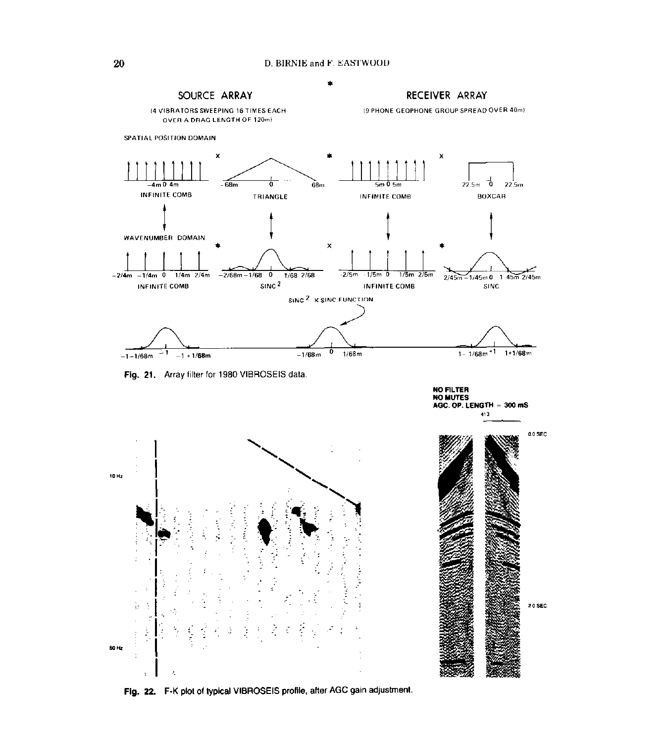

Fig. 22. F-K plot of typical VIBROSEIS profile, after AGC gain adjustment.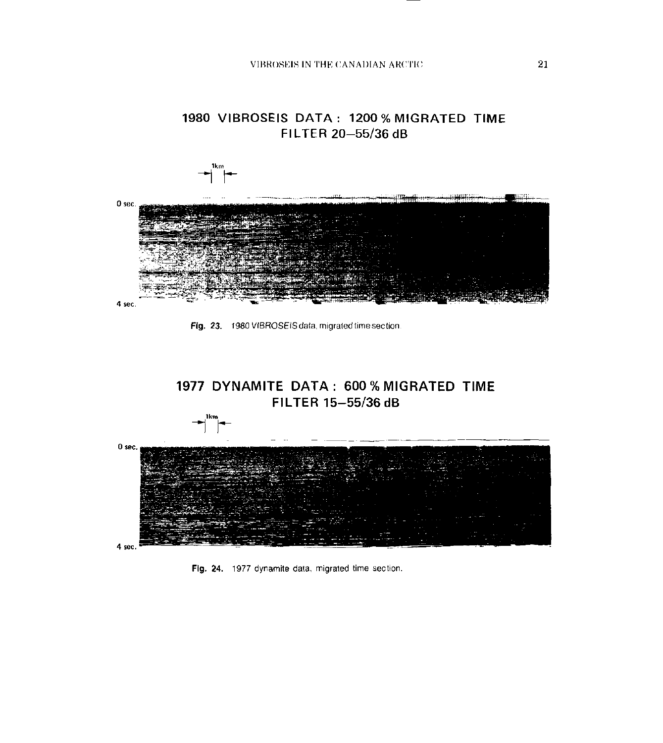1980 VIBROSEIS DATA: 1200 % MIGRATED TIME







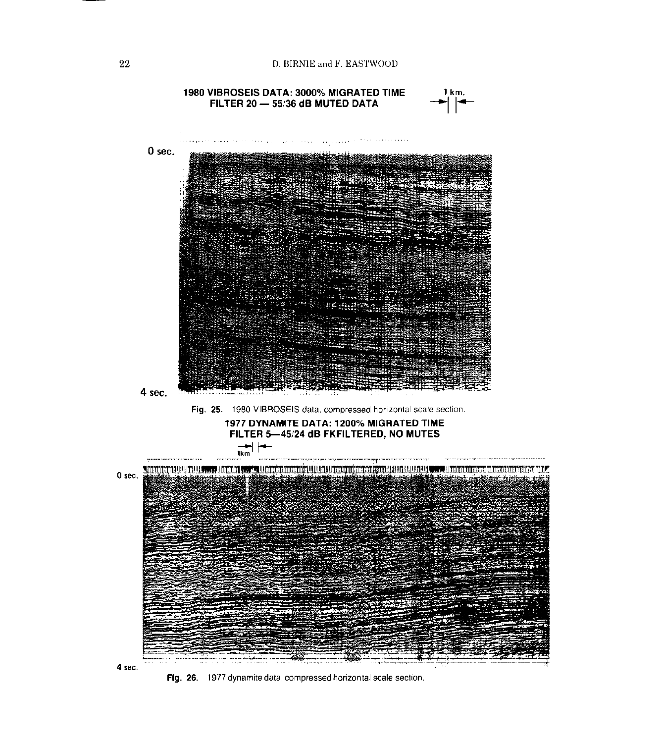



Fig. 26. 1977 dynamite data, compressed horizontal scale section.